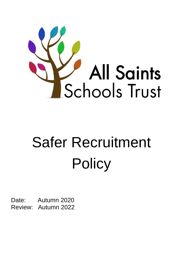

# Safer Recruitment **Policy**

Date: Autumn 2020 Review: Autumn 2022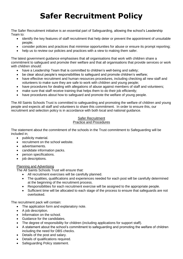# **Safer Recruitment Policy**

The Safer Recruitment initiative is an essential part of Safeguarding, allowing the school's Leadership Team to:

- identify the key features of staff recruitment that help deter or prevent the appointment of unsuitable people;
- consider policies and practices that minimise opportunities for abuse or ensure its prompt reporting;
- help us to review our policies and practices with a view to making them safer.

The latest government guidance emphasises that all organisations that work with children share a commitment to safeguard and promote their welfare and that all organisations that provide services or work with children should:

- have a Leadership Team that is committed to children's well-being and safety;
- be clear about people's responsibilities to safeguard and promote children's welfare;
- have effective recruitment and human resources procedures, including checking all new staff and volunteers to make sure they are safe to work with children and young people;
- have procedures for dealing with allegations of abuse against members of staff and volunteers;
- make sure that staff receive training that helps them to do their job efficiently;
- have procedures about how to safeguard and promote the welfare of young people.

The All Saints Schools Trust is committed to safeguarding and promoting the welfare of children and young people and expects all staff and volunteers to share this commitment. In order to ensure this, our recruitment and selection policy is in accordance with both local and national guidance.

#### Safer Recruitment Practice and Procedures

The statement about the commitment of the schools in the Trust commitment to Safeguarding will be included in;

- publicity material.
- recruitment on the school website.
- advertisements.
- candidate information packs.
- person specifications.
- job descriptions.

# Planning and Advertising

The All Saints Schools Trust will ensure that:

- All recruitment exercises will be carefully planned.
- The qualities, qualifications and experiences needed for each post will be carefully determined at the beginning of the recruitment process.
- Responsibilities for each recruitment exercise will be assigned to the appropriate people.
- Sufficient time will be allocated to each stage of the process to ensure that safeguards are not overlooked.

The recruitment pack will contain:

- The application form and explanatory note.
- A job description.
- Information on the school.
- Guidance for the candidates.
- The degree of responsibility for children (including applications for support staff).
- A statement about the school's commitment to safeguarding and promoting the welfare of children including the need for DBS checks.
- Details of the post and salary.
- Details of qualifications required.
- Safeguarding Policy statement.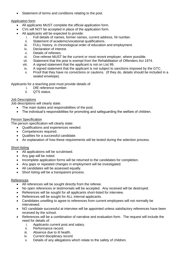Statement of terms and conditions relating to the post.

### Application form

- All applicants MUST complete the official application form.
- CVs will NOT be accepted in place of the application form.
- All applicants will be expected to provide:
	- i. Full details of names, former names, current address, NI number.
	- ii. Statement of academic/vocational qualifications.
	- iii. FULL history, in chronological order of education and employment.
	- iv. Declaration of interest.
	- v. Details of referees.
	- vi. One referee MUST be the current or most recent employer, where possible.
	- vii. Statement that the post is exempt from the Rehabilitation of Offenders Act 1974.
	- viii. A signed statement that the applicant is not on List 99.
	- ix. A signed statement that the applicant is not subject to sanctions imposed by the GTC.
	- x. Proof that they have no convictions or cautions. (If they do, details should be included in a sealed envelope).

Applicants for a teaching post must provide details of:

- i. DfE reference number.
- ii. QTS status.

#### Job Descriptions

Job descriptions will clearly state:

- The main duties and responsibilities of the post.
- The individual's responsibilities for promoting and safeguarding the welfare of children.

#### Person Specification

The person specification will clearly state:

- Qualifications and experiences needed.
- Competences required.
- Qualities for a successful candidate.
- An explanation of how these requirements will be tested during the selection process.

# Short-listing

- All applications will be scrutinised.
- Any gap will be noted.
- Incomplete application forms will be returned to the candidates for completion.
- Any gaps or repeated changes in employment will be investigated.
- All candidates will be assessed equally.
- Short listing will be a transparent process.

# References

- All references will be sought directly from the referee.
- No open references or testimonials will be accepted. Any received will be destroyed.
- References will be sought for all applicants short-listed for interview.
- References will be sought for ALL internal applicants.
- Candidates unwilling to agree to references from current employees will not normally be interviewed.
- NO candidate successful at interview will be appointed unless satisfactory references have been received by the school.
- References will be a combination of narrative and evaluation form. The request will include the need for details of:
	- i. Applicants current post and salary.
	- ii. Performance record.
	- iii. Absence due to ill health.
	- iv. Current disciplinary record.
	- v. Details of any allegations which relate to the safety of children.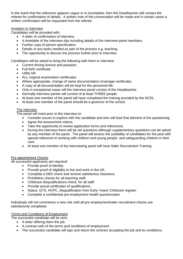In the event that the reference appears vague or is incomplete, then the Headteacher will contact the referee for confirmation of details. A written note of the conversation will be made and in certain cases a written confirmation will be requested from the referee.

#### Invitation to Interview

Candidates will be provided with:

- A letter of confirmation of interview.
- A timetable of the interview day including details of the interview panel members.
- Further copy of person specification.
- Details of any tasks needed as part of the process e.g. teaching.
- The opportunity to discuss the process further prior to interview.

Candidates will be asked to bring the following with them to interview:

- Current driving licence and passport.
- Full birth certificate.
- Utility bill.
- ALL original examination certificates.
- Where appropriate, change of name documentation (marriage certificate).
- A copy of all documentation will be kept for the personnel file.
- Only in exceptional cases will the interview panel consist of the Headteacher.
- Normally interview panels will consist of at least THREE people.
- At least one member of the panel will have completed the training provided by the NCSL.
- At least one member of the panel should be a governor of the school.

#### The Interview

The panel will meet prior to the interview to:

- Consider issues to explore with the candidate and who will lead that element of the questioning.
- Agree the assessment criteria.
- Take the opportunity to review application forms and references.
- During the interview there will be set questions although supplementary questions can be asked by any member of the panel. The panel will assess the suitability of candidates for the post with special reference to working with children and young people, and safeguarding children in their care.
- At least one member of the interviewing panel will have Safer Recruitment Training

#### Pre-appointment Checks

All successful applicants are required:

- Provide proof of identity.
- Provide proof of eligibility to live and work in the UK.
- Complete a DBS check and receive satisfactory clearance.
- Prohibition checks for all teaching staff.
- Childcare disqualifications check, for all staff.
- Provide actual certificates of qualifications.
- Status: QTS, HCPC, disqualification from Early Years/ Childcare register.
- Complete a confidential pre-employment health questionnaire

Individuals will not commence a new role until all pre-employment/safer recruitment checks are satisfactorily completed.

#### Terms and Conditions of Employment

The successful candidate will be sent:

- A letter offering them the job.
- A contract with of the terms and conditions of employment.
- The successful candidate will sign and return the contract accepting the job and its conditions.